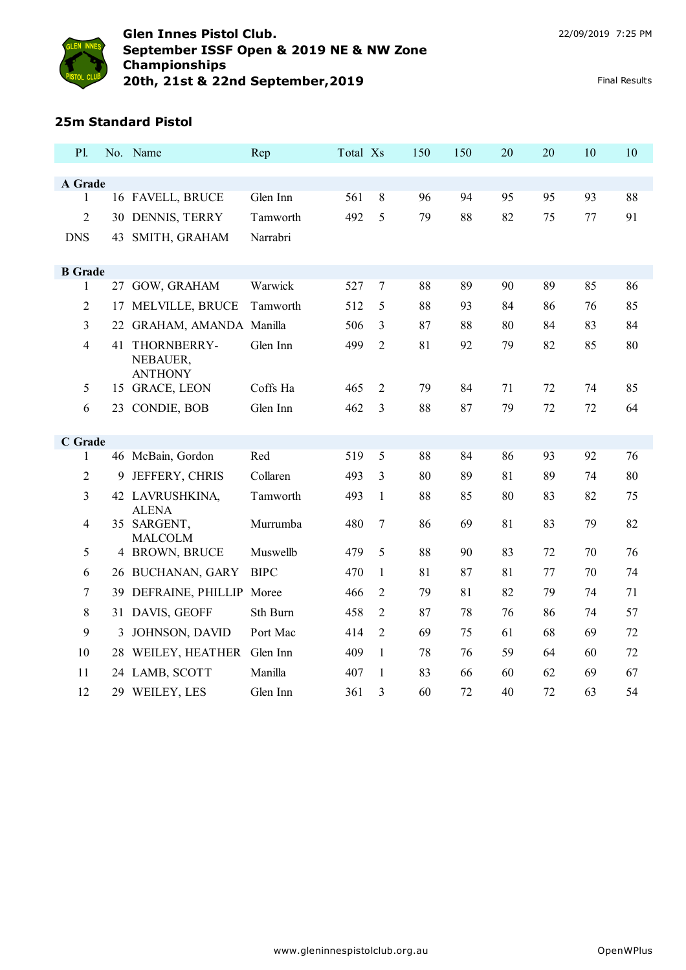

# **25m Standard Pistol**

| P1.                     |    | No. Name                         | Rep         | Total Xs |                | 150 | 150 | 20 | 20 | 10 | 10 |
|-------------------------|----|----------------------------------|-------------|----------|----------------|-----|-----|----|----|----|----|
|                         |    |                                  |             |          |                |     |     |    |    |    |    |
| A Grade<br>$\mathbf{1}$ |    | 16 FAVELL, BRUCE                 | Glen Inn    | 561      | $8\,$          | 96  | 94  | 95 | 95 | 93 | 88 |
| $\overline{2}$          |    |                                  |             |          | 5              |     | 88  |    |    |    | 91 |
|                         |    | 30 DENNIS, TERRY                 | Tamworth    | 492      |                | 79  |     | 82 | 75 | 77 |    |
| <b>DNS</b>              |    | 43 SMITH, GRAHAM                 | Narrabri    |          |                |     |     |    |    |    |    |
| <b>B</b> Grade          |    |                                  |             |          |                |     |     |    |    |    |    |
| 1                       |    | 27 GOW, GRAHAM                   | Warwick     | 527      | 7              | 88  | 89  | 90 | 89 | 85 | 86 |
| $\overline{c}$          | 17 | MELVILLE, BRUCE                  | Tamworth    | 512      | 5              | 88  | 93  | 84 | 86 | 76 | 85 |
| 3                       | 22 | GRAHAM, AMANDA Manilla           |             | 506      | 3              | 87  | 88  | 80 | 84 | 83 | 84 |
| $\overline{4}$          | 41 | THORNBERRY-                      | Glen Inn    | 499      | $\overline{2}$ | 81  | 92  | 79 | 82 | 85 | 80 |
|                         |    | NEBAUER,                         |             |          |                |     |     |    |    |    |    |
| 5                       |    | <b>ANTHONY</b><br>15 GRACE, LEON | Coffs Ha    | 465      | $\overline{2}$ | 79  | 84  | 71 | 72 | 74 | 85 |
| 6                       | 23 | CONDIE, BOB                      | Glen Inn    | 462      | 3              | 88  | 87  | 79 | 72 | 72 | 64 |
|                         |    |                                  |             |          |                |     |     |    |    |    |    |
| C Grade                 |    |                                  |             |          |                |     |     |    |    |    |    |
| 1                       |    | 46 McBain, Gordon                | Red         | 519      | 5              | 88  | 84  | 86 | 93 | 92 | 76 |
| $\overline{2}$          | 9  | JEFFERY, CHRIS                   | Collaren    | 493      | 3              | 80  | 89  | 81 | 89 | 74 | 80 |
| 3                       |    | 42 LAVRUSHKINA,<br><b>ALENA</b>  | Tamworth    | 493      | $\mathbf{1}$   | 88  | 85  | 80 | 83 | 82 | 75 |
| $\overline{4}$          |    | 35 SARGENT,                      | Murrumba    | 480      | $\overline{7}$ | 86  | 69  | 81 | 83 | 79 | 82 |
| 5                       |    | <b>MALCOLM</b><br>4 BROWN, BRUCE | Muswellb    | 479      | 5              | 88  | 90  | 83 | 72 | 70 | 76 |
|                         |    |                                  |             |          |                |     |     |    |    |    |    |
| 6                       |    | 26 BUCHANAN, GARY                | <b>BIPC</b> | 470      | 1              | 81  | 87  | 81 | 77 | 70 | 74 |
| $\overline{7}$          |    | 39 DEFRAINE, PHILLIP Moree       |             | 466      | $\overline{2}$ | 79  | 81  | 82 | 79 | 74 | 71 |
| 8                       |    | 31 DAVIS, GEOFF                  | Sth Burn    | 458      | $\overline{2}$ | 87  | 78  | 76 | 86 | 74 | 57 |
| 9                       | 3  | JOHNSON, DAVID                   | Port Mac    | 414      | $\overline{2}$ | 69  | 75  | 61 | 68 | 69 | 72 |
| 10                      |    | 28 WEILEY, HEATHER               | Glen Inn    | 409      | $\mathbf{1}$   | 78  | 76  | 59 | 64 | 60 | 72 |
| 11                      |    | 24 LAMB, SCOTT                   | Manilla     | 407      | 1              | 83  | 66  | 60 | 62 | 69 | 67 |
| 12                      | 29 | WEILEY, LES                      | Glen Inn    | 361      | 3              | 60  | 72  | 40 | 72 | 63 | 54 |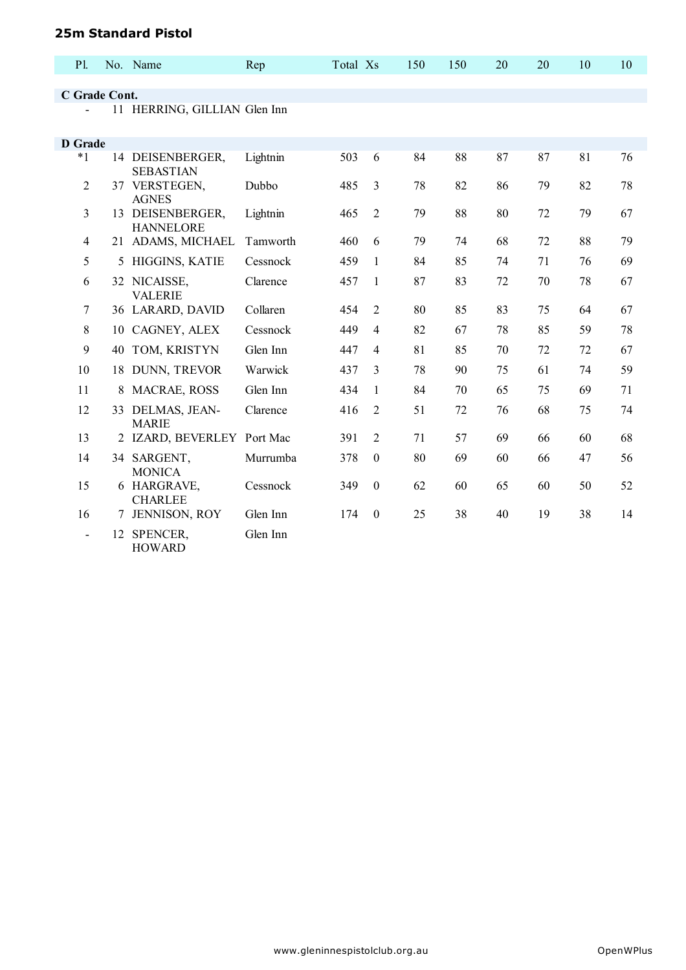#### **25m Standard Pistol**

| <b>P1.</b>     |    | No. Name                             | Rep      | Total Xs |                  | 150 | 150 | 20 | 20 | 10 | 10 |
|----------------|----|--------------------------------------|----------|----------|------------------|-----|-----|----|----|----|----|
|                |    |                                      |          |          |                  |     |     |    |    |    |    |
| C Grade Cont.  |    |                                      |          |          |                  |     |     |    |    |    |    |
|                |    | 11 HERRING, GILLIAN Glen Inn         |          |          |                  |     |     |    |    |    |    |
| <b>D</b> Grade |    |                                      |          |          |                  |     |     |    |    |    |    |
| $*1$           |    | 14 DEISENBERGER,<br><b>SEBASTIAN</b> | Lightnin | 503      | 6                | 84  | 88  | 87 | 87 | 81 | 76 |
| $\overline{2}$ |    | 37 VERSTEGEN,<br><b>AGNES</b>        | Dubbo    | 485      | 3                | 78  | 82  | 86 | 79 | 82 | 78 |
| 3              |    | 13 DEISENBERGER,<br><b>HANNELORE</b> | Lightnin | 465      | $\overline{2}$   | 79  | 88  | 80 | 72 | 79 | 67 |
| $\overline{4}$ |    | 21 ADAMS, MICHAEL                    | Tamworth | 460      | 6                | 79  | 74  | 68 | 72 | 88 | 79 |
| 5              | 5  | HIGGINS, KATIE                       | Cessnock | 459      | 1                | 84  | 85  | 74 | 71 | 76 | 69 |
| 6              |    | 32 NICAISSE,<br><b>VALERIE</b>       | Clarence | 457      | 1                | 87  | 83  | 72 | 70 | 78 | 67 |
| 7              |    | 36 LARARD, DAVID                     | Collaren | 454      | $\overline{2}$   | 80  | 85  | 83 | 75 | 64 | 67 |
| 8              | 10 | CAGNEY, ALEX                         | Cessnock | 449      | 4                | 82  | 67  | 78 | 85 | 59 | 78 |
| 9              | 40 | TOM, KRISTYN                         | Glen Inn | 447      | $\overline{4}$   | 81  | 85  | 70 | 72 | 72 | 67 |
| 10             | 18 | DUNN, TREVOR                         | Warwick  | 437      | 3                | 78  | 90  | 75 | 61 | 74 | 59 |
| 11             | 8  | <b>MACRAE, ROSS</b>                  | Glen Inn | 434      | 1                | 84  | 70  | 65 | 75 | 69 | 71 |
| 12             |    | 33 DELMAS, JEAN-<br><b>MARIE</b>     | Clarence | 416      | 2                | 51  | 72  | 76 | 68 | 75 | 74 |
| 13             |    | 2 IZARD, BEVERLEY Port Mac           |          | 391      | $\overline{2}$   | 71  | 57  | 69 | 66 | 60 | 68 |
| 14             |    | 34 SARGENT,<br><b>MONICA</b>         | Murrumba | 378      | $\theta$         | 80  | 69  | 60 | 66 | 47 | 56 |
| 15             |    | 6 HARGRAVE,<br><b>CHARLEE</b>        | Cessnock | 349      | $\theta$         | 62  | 60  | 65 | 60 | 50 | 52 |
| 16             | 7  | JENNISON, ROY                        | Glen Inn | 174      | $\boldsymbol{0}$ | 25  | 38  | 40 | 19 | 38 | 14 |
|                | 12 | SPENCER,<br><b>HOWARD</b>            | Glen Inn |          |                  |     |     |    |    |    |    |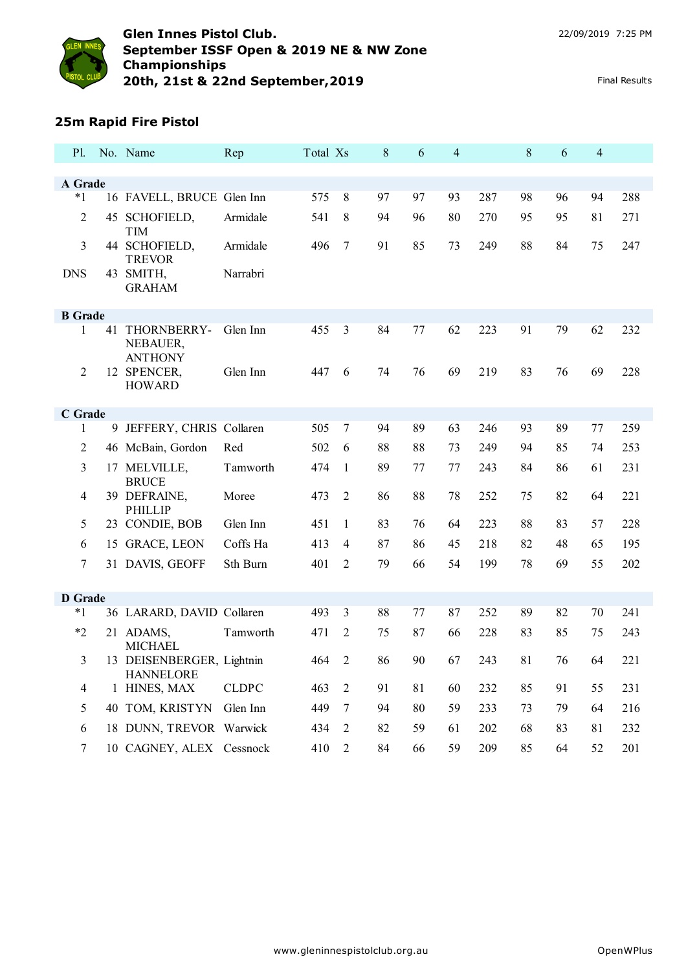

## **25m Rapid Fire Pistol**

| <b>Pl.</b>     |    | No. Name                                      | Rep          | Total Xs |                | 8  | 6  | 4  |     | 8  | 6  | $\overline{4}$ |     |
|----------------|----|-----------------------------------------------|--------------|----------|----------------|----|----|----|-----|----|----|----------------|-----|
|                |    |                                               |              |          |                |    |    |    |     |    |    |                |     |
| A Grade        |    |                                               |              |          |                |    |    |    |     |    |    |                |     |
| $*1$           |    | 16 FAVELL, BRUCE Glen Inn                     |              | 575      | 8              | 97 | 97 | 93 | 287 | 98 | 96 | 94             | 288 |
| $\overline{2}$ |    | 45 SCHOFIELD,<br><b>TIM</b>                   | Armidale     | 541      | 8              | 94 | 96 | 80 | 270 | 95 | 95 | 81             | 271 |
| 3              |    | 44 SCHOFIELD,<br><b>TREVOR</b>                | Armidale     | 496      | $\overline{7}$ | 91 | 85 | 73 | 249 | 88 | 84 | 75             | 247 |
| <b>DNS</b>     | 43 | SMITH,<br><b>GRAHAM</b>                       | Narrabri     |          |                |    |    |    |     |    |    |                |     |
| <b>B</b> Grade |    |                                               |              |          |                |    |    |    |     |    |    |                |     |
| 1              | 41 | THORNBERRY-<br>NEBAUER,                       | Glen Inn     | 455      | 3              | 84 | 77 | 62 | 223 | 91 | 79 | 62             | 232 |
| $\overline{c}$ |    | <b>ANTHONY</b><br>12 SPENCER,                 | Glen Inn     | 447      | 6              | 74 | 76 | 69 | 219 | 83 | 76 | 69             | 228 |
|                |    | <b>HOWARD</b>                                 |              |          |                |    |    |    |     |    |    |                |     |
| C Grade        |    |                                               |              |          |                |    |    |    |     |    |    |                |     |
| 1              |    | 9 JEFFERY, CHRIS Collaren                     |              | 505      | $\tau$         | 94 | 89 | 63 | 246 | 93 | 89 | 77             | 259 |
| 2              |    | 46 McBain, Gordon                             | Red          | 502      | 6              | 88 | 88 | 73 | 249 | 94 | 85 | 74             | 253 |
| 3              |    | 17 MELVILLE,<br><b>BRUCE</b>                  | Tamworth     | 474      | 1              | 89 | 77 | 77 | 243 | 84 | 86 | 61             | 231 |
| 4              |    | 39 DEFRAINE,<br><b>PHILLIP</b>                | Moree        | 473      | 2              | 86 | 88 | 78 | 252 | 75 | 82 | 64             | 221 |
| 5              |    | 23 CONDIE, BOB                                | Glen Inn     | 451      | 1              | 83 | 76 | 64 | 223 | 88 | 83 | 57             | 228 |
| 6              |    | 15 GRACE, LEON                                | Coffs Ha     | 413      | 4              | 87 | 86 | 45 | 218 | 82 | 48 | 65             | 195 |
| 7              |    | 31 DAVIS, GEOFF                               | Sth Burn     | 401      | $\overline{2}$ | 79 | 66 | 54 | 199 | 78 | 69 | 55             | 202 |
| <b>D</b> Grade |    |                                               |              |          |                |    |    |    |     |    |    |                |     |
| $*_{1}$        |    | 36 LARARD, DAVID Collaren                     |              | 493      | 3              | 88 | 77 | 87 | 252 | 89 | 82 | 70             | 241 |
| $*_{2}$        |    | 21 ADAMS,                                     | Tamworth     | 471      | $\overline{2}$ | 75 | 87 | 66 | 228 | 83 | 85 | 75             | 243 |
|                |    | <b>MICHAEL</b>                                |              |          |                |    |    |    |     |    |    |                |     |
| 3              |    | 13 DEISENBERGER, Lightnin<br><b>HANNELORE</b> |              | 464      | $\overline{2}$ | 86 | 90 | 67 | 243 | 81 | 76 | 64             | 221 |
| $\overline{4}$ |    | 1 HINES, MAX                                  | <b>CLDPC</b> | 463      | $\overline{2}$ | 91 | 81 | 60 | 232 | 85 | 91 | 55             | 231 |
| 5              |    | 40 TOM, KRISTYN                               | Glen Inn     | 449      | $\overline{7}$ | 94 | 80 | 59 | 233 | 73 | 79 | 64             | 216 |
| 6              |    | 18 DUNN, TREVOR Warwick                       |              | 434      | 2              | 82 | 59 | 61 | 202 | 68 | 83 | 81             | 232 |
| 7              |    | 10 CAGNEY, ALEX Cessnock                      |              | 410      | 2              | 84 | 66 | 59 | 209 | 85 | 64 | 52             | 201 |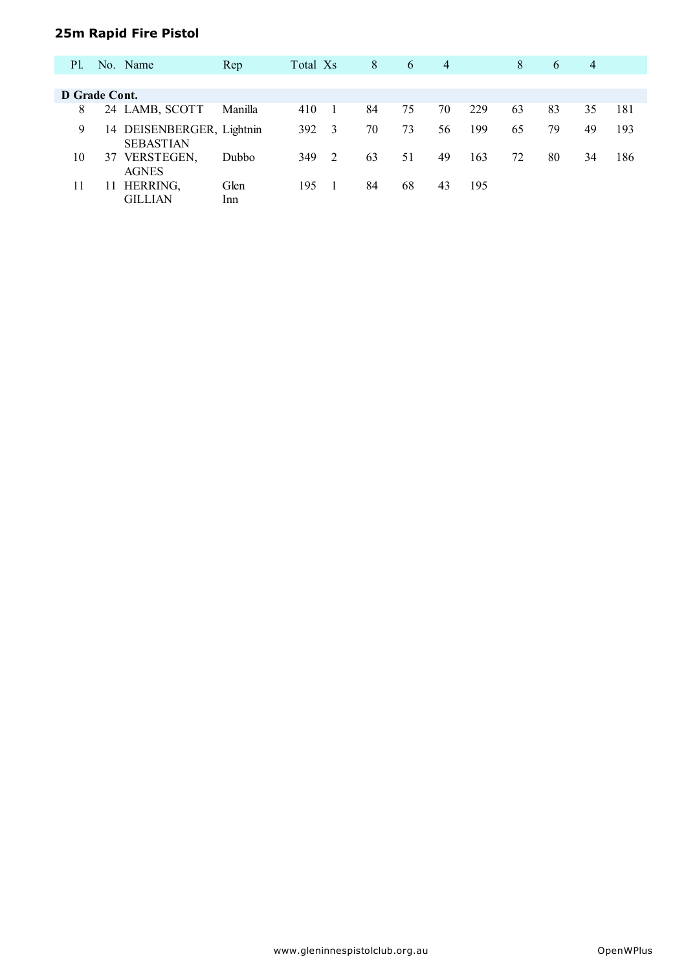# **25m Rapid Fire Pistol**

| P1.           |    | No. Name                                      | Rep         | Total Xs |   | 8  | 6  | $\overline{4}$ |     | 8  | 6  | 4  |     |
|---------------|----|-----------------------------------------------|-------------|----------|---|----|----|----------------|-----|----|----|----|-----|
| D Grade Cont. |    |                                               |             |          |   |    |    |                |     |    |    |    |     |
|               |    |                                               |             |          |   |    |    |                |     |    |    |    |     |
| 8             |    | 24 LAMB, SCOTT                                | Manilla     | 410      |   | 84 | 75 | 70             | 229 | 63 | 83 | 35 | 181 |
| 9             |    | 14 DEISENBERGER, Lightnin<br><b>SEBASTIAN</b> |             | 392      | 3 | 70 | 73 | 56             | 199 | 65 | 79 | 49 | 193 |
| 10            | 37 | VERSTEGEN,<br><b>AGNES</b>                    | Dubbo       | 349      | 2 | 63 | 51 | 49             | 163 | 72 | 80 | 34 | 186 |
| 11            |    | HERRING,<br>GILLIAN                           | Glen<br>Inn | 195      |   | 84 | 68 | 43             | 195 |    |    |    |     |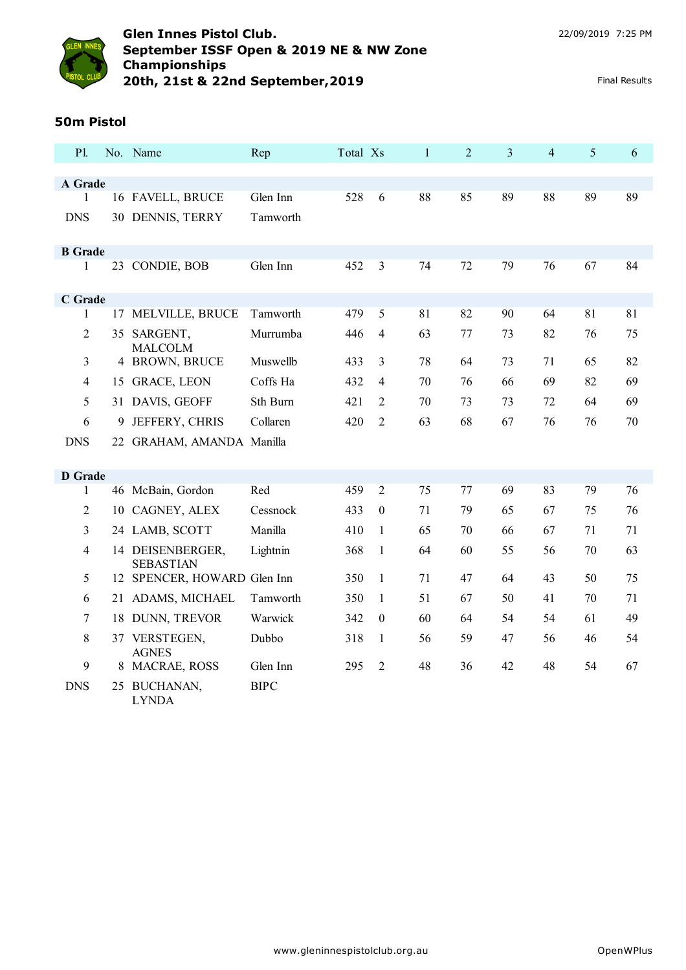

## **50m Pistol**

| <b>P1.</b>     |    | No. Name                                        | Rep         | Total Xs |                | $\mathbf{1}$ | $\overline{2}$ | 3  | $\overline{4}$ | 5  | 6  |
|----------------|----|-------------------------------------------------|-------------|----------|----------------|--------------|----------------|----|----------------|----|----|
|                |    |                                                 |             |          |                |              |                |    |                |    |    |
| A Grade<br>1   |    | 16 FAVELL, BRUCE                                | Glen Inn    | 528      | 6              | 88           | 85             | 89 | 88             | 89 | 89 |
| <b>DNS</b>     |    | 30 DENNIS, TERRY                                | Tamworth    |          |                |              |                |    |                |    |    |
|                |    |                                                 |             |          |                |              |                |    |                |    |    |
| <b>B</b> Grade |    |                                                 |             |          |                |              |                |    |                |    |    |
| 1              |    | 23 CONDIE, BOB                                  | Glen Inn    | 452      | 3              | 74           | 72             | 79 | 76             | 67 | 84 |
|                |    |                                                 |             |          |                |              |                |    |                |    |    |
| C Grade<br>1   | 17 | MELVILLE, BRUCE                                 | Tamworth    | 479      | 5              | 81           | 82             | 90 | 64             | 81 | 81 |
|                |    |                                                 |             |          |                |              |                |    |                |    |    |
| 2              |    | 35 SARGENT,<br><b>MALCOLM</b>                   | Murrumba    | 446      | $\overline{4}$ | 63           | 77             | 73 | 82             | 76 | 75 |
| 3              |    | 4 BROWN, BRUCE                                  | Muswellb    | 433      | 3              | 78           | 64             | 73 | 71             | 65 | 82 |
| $\overline{4}$ |    | 15 GRACE, LEON                                  | Coffs Ha    | 432      | 4              | 70           | 76             | 66 | 69             | 82 | 69 |
| 5              |    | 31 DAVIS, GEOFF                                 | Sth Burn    | 421      | 2              | 70           | 73             | 73 | 72             | 64 | 69 |
| 6              | 9  | JEFFERY, CHRIS                                  | Collaren    | 420      | 2              | 63           | 68             | 67 | 76             | 76 | 70 |
| <b>DNS</b>     |    | 22 GRAHAM, AMANDA Manilla                       |             |          |                |              |                |    |                |    |    |
|                |    |                                                 |             |          |                |              |                |    |                |    |    |
| <b>D</b> Grade |    |                                                 |             |          |                |              |                |    |                |    |    |
| 1              |    | 46 McBain, Gordon                               | Red         | 459      | $\overline{2}$ | 75           | 77             | 69 | 83             | 79 | 76 |
| $\overline{2}$ |    | 10 CAGNEY, ALEX                                 | Cessnock    | 433      | $\mathbf{0}$   | 71           | 79             | 65 | 67             | 75 | 76 |
| 3              |    | 24 LAMB, SCOTT                                  | Manilla     | 410      | 1              | 65           | 70             | 66 | 67             | 71 | 71 |
| $\overline{4}$ |    | 14 DEISENBERGER,                                | Lightnin    | 368      | 1              | 64           | 60             | 55 | 56             | 70 | 63 |
| 5              |    | <b>SEBASTIAN</b><br>12 SPENCER, HOWARD Glen Inn |             | 350      | $\mathbf{1}$   | 71           | 47             | 64 | 43             | 50 | 75 |
| 6              | 21 | ADAMS, MICHAEL                                  | Tamworth    | 350      | 1              | 51           | 67             | 50 | 41             | 70 | 71 |
|                |    |                                                 |             |          |                |              |                |    |                |    |    |
| 7              |    | 18 DUNN, TREVOR                                 | Warwick     | 342      | $\theta$       | 60           | 64             | 54 | 54             | 61 | 49 |
| 8              |    | 37 VERSTEGEN,<br><b>AGNES</b>                   | Dubbo       | 318      | 1              | 56           | 59             | 47 | 56             | 46 | 54 |
| 9              | 8  | <b>MACRAE, ROSS</b>                             | Glen Inn    | 295      | $\overline{c}$ | 48           | 36             | 42 | 48             | 54 | 67 |
| <b>DNS</b>     |    | 25 BUCHANAN,<br><b>LYNDA</b>                    | <b>BIPC</b> |          |                |              |                |    |                |    |    |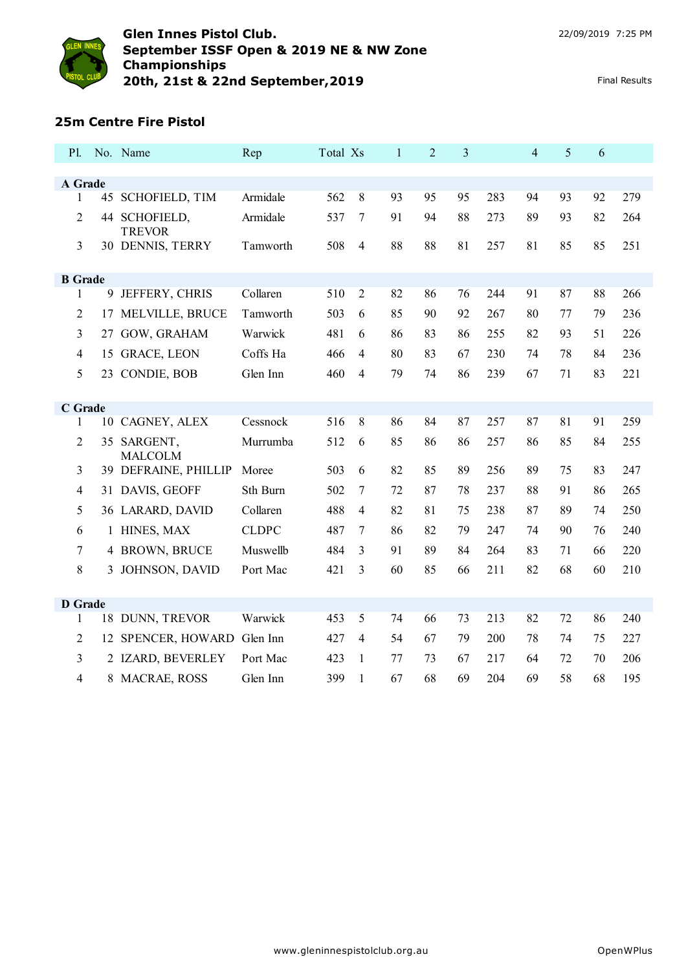

#### **25m Centre Fire Pistol**

| <b>P1.</b>     |    | No. Name                       | Rep          | Total Xs |                | $\mathbf{1}$ | $\overline{2}$ | 3  |     | $\overline{4}$ | 5  | 6  |     |
|----------------|----|--------------------------------|--------------|----------|----------------|--------------|----------------|----|-----|----------------|----|----|-----|
|                |    |                                |              |          |                |              |                |    |     |                |    |    |     |
| A Grade        |    |                                |              |          |                |              |                | 95 |     |                |    |    |     |
| 1              |    | 45 SCHOFIELD, TIM              | Armidale     | 562      | 8              | 93           | 95             |    | 283 | 94             | 93 | 92 | 279 |
| 2              |    | 44 SCHOFIELD,<br><b>TREVOR</b> | Armidale     | 537      | 7              | 91           | 94             | 88 | 273 | 89             | 93 | 82 | 264 |
| 3              |    | 30 DENNIS, TERRY               | Tamworth     | 508      | $\overline{4}$ | 88           | 88             | 81 | 257 | 81             | 85 | 85 | 251 |
| <b>B</b> Grade |    |                                |              |          |                |              |                |    |     |                |    |    |     |
| 1              | 9  | JEFFERY, CHRIS                 | Collaren     | 510      | $\overline{2}$ | 82           | 86             | 76 | 244 | 91             | 87 | 88 | 266 |
| 2              | 17 | MELVILLE, BRUCE                | Tamworth     | 503      | 6              | 85           | 90             | 92 | 267 | 80             | 77 | 79 | 236 |
| 3              |    | 27 GOW, GRAHAM                 | Warwick      | 481      | 6              | 86           | 83             | 86 | 255 | 82             | 93 | 51 | 226 |
| 4              |    | 15 GRACE, LEON                 | Coffs Ha     | 466      | $\overline{4}$ | 80           | 83             | 67 | 230 | 74             | 78 | 84 | 236 |
| 5              |    | 23 CONDIE, BOB                 | Glen Inn     | 460      | 4              | 79           | 74             | 86 | 239 | 67             | 71 | 83 | 221 |
| C Grade        |    |                                |              |          |                |              |                |    |     |                |    |    |     |
| 1              |    | 10 CAGNEY, ALEX                | Cessnock     | 516      | 8              | 86           | 84             | 87 | 257 | 87             | 81 | 91 | 259 |
| 2              |    | 35 SARGENT,<br><b>MALCOLM</b>  | Murrumba     | 512      | 6              | 85           | 86             | 86 | 257 | 86             | 85 | 84 | 255 |
| 3              |    | 39 DEFRAINE, PHILLIP           | Moree        | 503      | 6              | 82           | 85             | 89 | 256 | 89             | 75 | 83 | 247 |
| 4              |    | 31 DAVIS, GEOFF                | Sth Burn     | 502      | 7              | 72           | 87             | 78 | 237 | 88             | 91 | 86 | 265 |
| 5              |    | 36 LARARD, DAVID               | Collaren     | 488      | 4              | 82           | 81             | 75 | 238 | 87             | 89 | 74 | 250 |
| 6              |    | 1 HINES, MAX                   | <b>CLDPC</b> | 487      | 7              | 86           | 82             | 79 | 247 | 74             | 90 | 76 | 240 |
| 7              |    | 4 BROWN, BRUCE                 | Muswellb     | 484      | 3              | 91           | 89             | 84 | 264 | 83             | 71 | 66 | 220 |
| 8              |    | 3 JOHNSON, DAVID               | Port Mac     | 421      | 3              | 60           | 85             | 66 | 211 | 82             | 68 | 60 | 210 |
|                |    |                                |              |          |                |              |                |    |     |                |    |    |     |
| <b>D</b> Grade |    |                                | Warwick      |          |                |              |                |    |     |                |    |    |     |
| $\mathbf{1}$   |    | 18 DUNN, TREVOR                |              | 453      | 5              | 74           | 66             | 73 | 213 | 82             | 72 | 86 | 240 |
| $\overline{c}$ |    | 12 SPENCER, HOWARD             | Glen Inn     | 427      | $\overline{4}$ | 54           | 67             | 79 | 200 | 78             | 74 | 75 | 227 |
| 3              |    | 2 IZARD, BEVERLEY              | Port Mac     | 423      | 1              | 77           | 73             | 67 | 217 | 64             | 72 | 70 | 206 |
| 4              |    | 8 MACRAE, ROSS                 | Glen Inn     | 399      | $\mathbf{1}$   | 67           | 68             | 69 | 204 | 69             | 58 | 68 | 195 |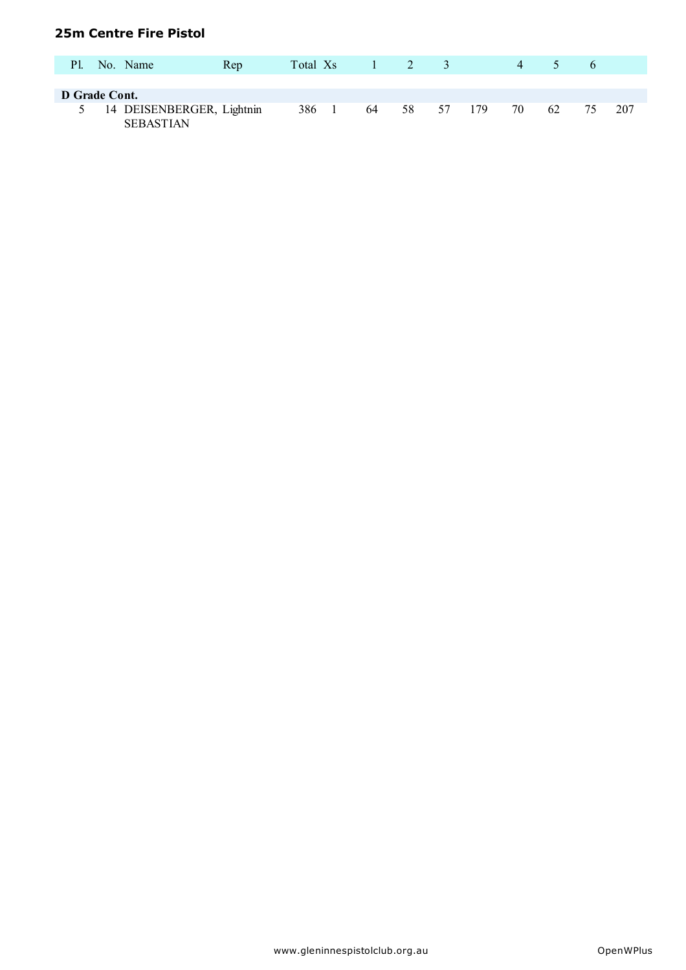#### **25m Centre Fire Pistol**

| P1.           | No. Name                                      | Rep | Total Xs |    | $1 \quad 2 \quad 3$ |    |     | 4  | $\mathcal{D}$ | $\sigma$ |     |
|---------------|-----------------------------------------------|-----|----------|----|---------------------|----|-----|----|---------------|----------|-----|
| D Grade Cont. |                                               |     |          |    |                     |    |     |    |               |          |     |
|               | 14 DEISENBERGER, Lightnin<br><b>SEBASTIAN</b> |     | 386      | 64 | 58                  | 57 | 179 | 70 | 62            | 75       | 207 |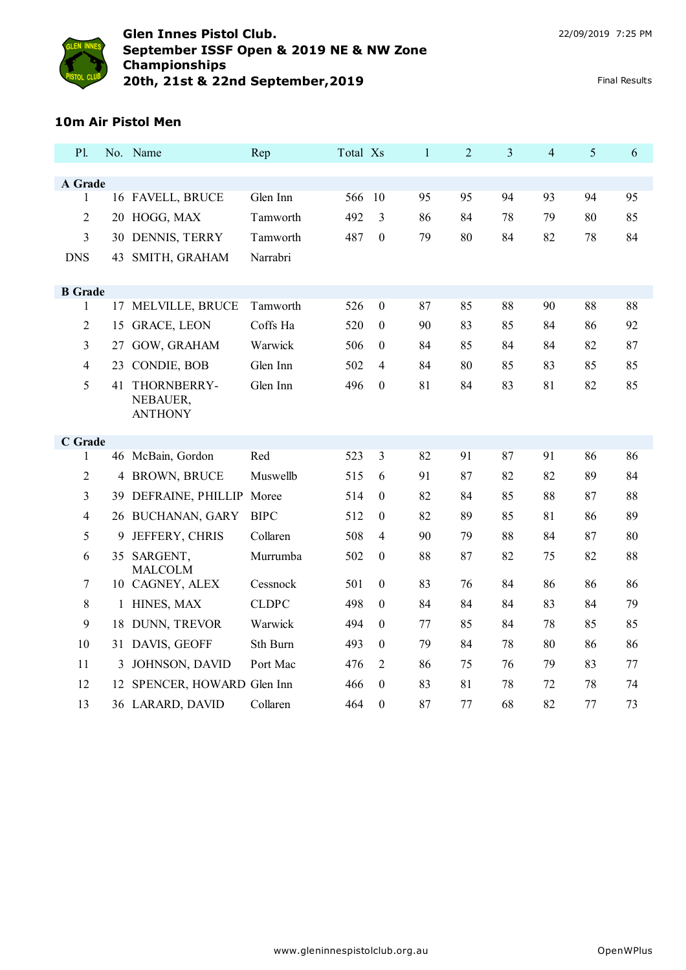

## **10m Air Pistol Men**

| P1.            |    | No. Name                          | Rep          | Total Xs |                  | $\mathbf{1}$ | $\overline{2}$ | 3  | $\overline{4}$ | 5  | 6  |
|----------------|----|-----------------------------------|--------------|----------|------------------|--------------|----------------|----|----------------|----|----|
| A Grade        |    |                                   |              |          |                  |              |                |    |                |    |    |
| $\mathbf{1}$   |    | 16 FAVELL, BRUCE                  | Glen Inn     | 566      | 10               | 95           | 95             | 94 | 93             | 94 | 95 |
| $\overline{2}$ |    | 20 HOGG, MAX                      | Tamworth     | 492      | 3                | 86           | 84             | 78 | 79             | 80 | 85 |
| 3              |    | 30 DENNIS, TERRY                  | Tamworth     | 487      | $\boldsymbol{0}$ | 79           | 80             | 84 | 82             | 78 | 84 |
| <b>DNS</b>     | 43 | SMITH, GRAHAM                     | Narrabri     |          |                  |              |                |    |                |    |    |
|                |    |                                   |              |          |                  |              |                |    |                |    |    |
| <b>B</b> Grade |    |                                   |              |          |                  |              |                |    |                |    |    |
| 1              | 17 | MELVILLE, BRUCE                   | Tamworth     | 526      | $\boldsymbol{0}$ | 87           | 85             | 88 | 90             | 88 | 88 |
| $\overline{2}$ |    | 15 GRACE, LEON                    | Coffs Ha     | 520      | $\boldsymbol{0}$ | 90           | 83             | 85 | 84             | 86 | 92 |
| 3              | 27 | GOW, GRAHAM                       | Warwick      | 506      | $\mathbf{0}$     | 84           | 85             | 84 | 84             | 82 | 87 |
| $\overline{4}$ | 23 | CONDIE, BOB                       | Glen Inn     | 502      | $\overline{4}$   | 84           | 80             | 85 | 83             | 85 | 85 |
| 5              | 41 | THORNBERRY-<br>NEBAUER,           | Glen Inn     | 496      | $\boldsymbol{0}$ | 81           | 84             | 83 | 81             | 82 | 85 |
|                |    | <b>ANTHONY</b>                    |              |          |                  |              |                |    |                |    |    |
| C Grade        |    |                                   |              |          |                  |              |                |    |                |    |    |
| 1              |    | 46 McBain, Gordon                 | Red          | 523      | 3                | 82           | 91             | 87 | 91             | 86 | 86 |
| $\overline{2}$ | 4  | <b>BROWN, BRUCE</b>               | Muswellb     | 515      | 6                | 91           | 87             | 82 | 82             | 89 | 84 |
| 3              |    | 39 DEFRAINE, PHILLIP Moree        |              | 514      | $\mathbf{0}$     | 82           | 84             | 85 | 88             | 87 | 88 |
| $\overline{4}$ |    | 26 BUCHANAN, GARY                 | <b>BIPC</b>  | 512      | $\theta$         | 82           | 89             | 85 | 81             | 86 | 89 |
| 5              | 9  | JEFFERY, CHRIS                    | Collaren     | 508      | 4                | 90           | 79             | 88 | 84             | 87 | 80 |
| 6              |    | 35 SARGENT,                       | Murrumba     | 502      | $\mathbf{0}$     | 88           | 87             | 82 | 75             | 82 | 88 |
| 7              |    | <b>MALCOLM</b><br>10 CAGNEY, ALEX | Cessnock     | 501      | $\boldsymbol{0}$ | 83           | 76             | 84 | 86             | 86 | 86 |
| 8              |    | 1 HINES, MAX                      | <b>CLDPC</b> | 498      | $\mathbf{0}$     | 84           | 84             | 84 | 83             | 84 | 79 |
| 9              | 18 | DUNN, TREVOR                      | Warwick      | 494      | $\theta$         | 77           | 85             | 84 | 78             | 85 | 85 |
| 10             | 31 | DAVIS, GEOFF                      | Sth Burn     | 493      | $\mathbf{0}$     | 79           | 84             | 78 | 80             | 86 | 86 |
| 11             | 3  | JOHNSON, DAVID                    | Port Mac     | 476      | 2                | 86           | 75             | 76 | 79             | 83 | 77 |
| 12             |    | 12 SPENCER, HOWARD Glen Inn       |              | 466      | $\theta$         | 83           | 81             | 78 | 72             | 78 | 74 |
| 13             |    | 36 LARARD, DAVID                  | Collaren     | 464      | $\boldsymbol{0}$ | 87           | 77             | 68 | 82             | 77 | 73 |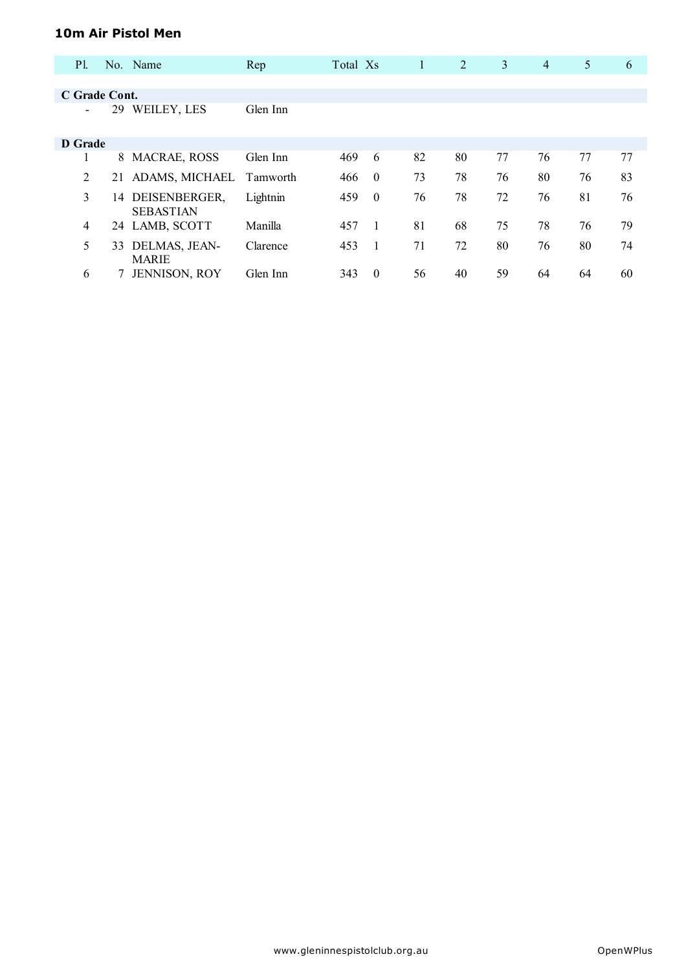#### **10m Air Pistol Men**

| P1.            |    | No. Name                          | Rep             | Total Xs |          | 1  | 2  | 3  | $\overline{4}$ | 5  | 6  |
|----------------|----|-----------------------------------|-----------------|----------|----------|----|----|----|----------------|----|----|
|                |    |                                   |                 |          |          |    |    |    |                |    |    |
| C Grade Cont.  |    |                                   |                 |          |          |    |    |    |                |    |    |
|                | 29 | WEILEY, LES                       | Glen Inn        |          |          |    |    |    |                |    |    |
| D Grade        |    |                                   |                 |          |          |    |    |    |                |    |    |
|                | 8  | <b>MACRAE, ROSS</b>               | Glen Inn        | 469      | 6        | 82 | 80 | 77 | 76             | 77 | 77 |
| 2              | 21 | ADAMS, MICHAEL                    | <b>Tamworth</b> | 466      | $\theta$ | 73 | 78 | 76 | 80             | 76 | 83 |
| 3              | 14 | DEISENBERGER,<br><b>SEBASTIAN</b> | Lightnin        | 459      | $\theta$ | 76 | 78 | 72 | 76             | 81 | 76 |
| $\overline{4}$ |    | 24 LAMB, SCOTT                    | Manilla         | 457      |          | 81 | 68 | 75 | 78             | 76 | 79 |
| 5              | 33 | DELMAS, JEAN-<br><b>MARIE</b>     | Clarence        | 453      |          | 71 | 72 | 80 | 76             | 80 | 74 |
| 6              |    | <b>JENNISON, ROY</b>              | Glen Inn        | 343      | $\theta$ | 56 | 40 | 59 | 64             | 64 | 60 |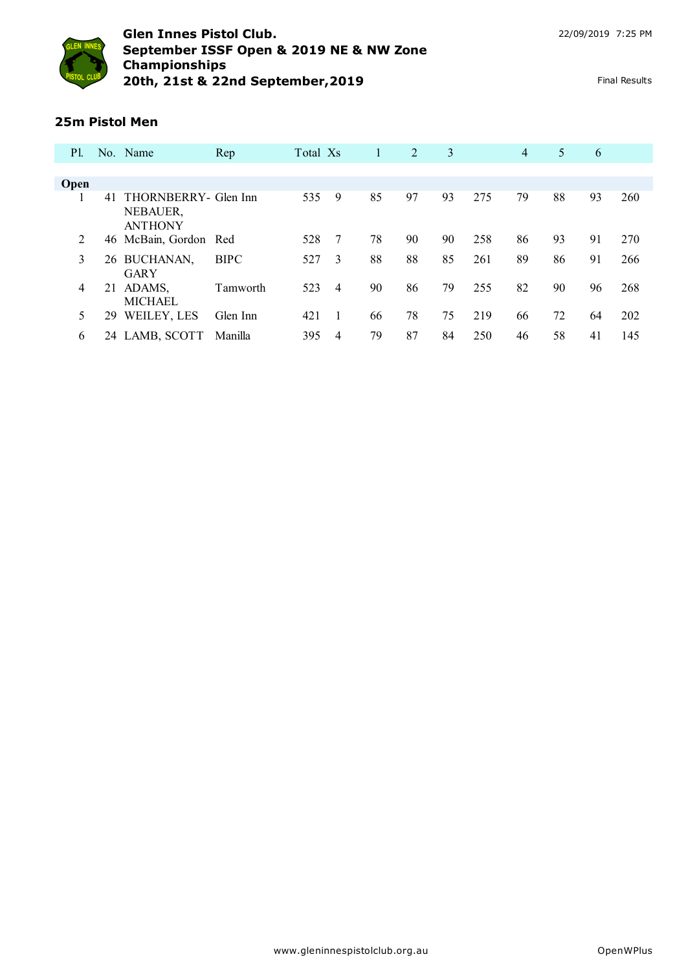

## **25m Pistol Men**

| <b>P</b> l. |    | No. Name                                           | Rep         | Total Xs |                | 1  | 2  | 3  |     | $\overline{4}$ | 5  | 6  |     |
|-------------|----|----------------------------------------------------|-------------|----------|----------------|----|----|----|-----|----------------|----|----|-----|
|             |    |                                                    |             |          |                |    |    |    |     |                |    |    |     |
| Open        |    |                                                    |             |          |                |    |    |    |     |                |    |    |     |
|             | 41 | THORNBERRY- Glen Inn<br>NEBAUER,<br><b>ANTHONY</b> |             | 535      | 9              | 85 | 97 | 93 | 275 | 79             | 88 | 93 | 260 |
| 2           |    | 46 McBain, Gordon Red                              |             | 528      | 7              | 78 | 90 | 90 | 258 | 86             | 93 | 91 | 270 |
| 3           |    | 26 BUCHANAN,<br><b>GARY</b>                        | <b>BIPC</b> | 527      | 3              | 88 | 88 | 85 | 261 | 89             | 86 | 91 | 266 |
| 4           | 21 | ADAMS,<br><b>MICHAEL</b>                           | Tamworth    | 523      | $\overline{4}$ | 90 | 86 | 79 | 255 | 82             | 90 | 96 | 268 |
| 5           | 29 | WEILEY, LES                                        | Glen Inn    | 421      |                | 66 | 78 | 75 | 219 | 66             | 72 | 64 | 202 |
| 6           |    | 24 LAMB, SCOTT                                     | Manilla     | 395      | 4              | 79 | 87 | 84 | 250 | 46             | 58 | 41 | 145 |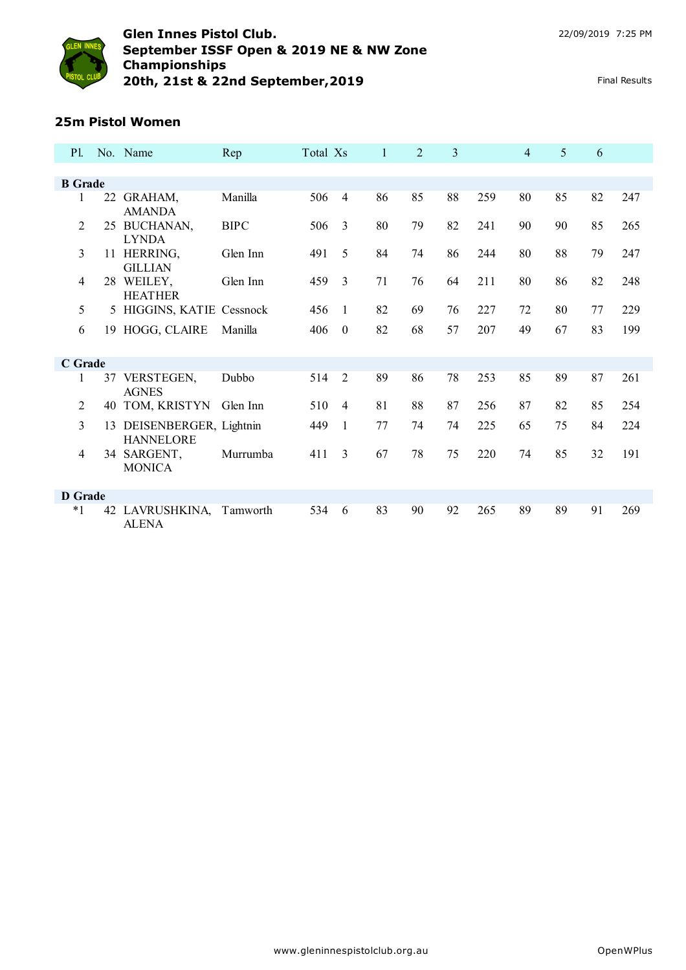

## **25m Pistol Women**

| P1.            |    | No. Name                                      | Rep         | Total Xs |                  | $\mathbf{1}$ | $\overline{2}$ | 3  |     | $\overline{4}$ | 5  | 6  |     |
|----------------|----|-----------------------------------------------|-------------|----------|------------------|--------------|----------------|----|-----|----------------|----|----|-----|
|                |    |                                               |             |          |                  |              |                |    |     |                |    |    |     |
| <b>B</b> Grade |    |                                               |             |          |                  |              |                |    |     |                |    |    |     |
| 1              | 22 | GRAHAM,<br><b>AMANDA</b>                      | Manilla     | 506      | $\overline{4}$   | 86           | 85             | 88 | 259 | 80             | 85 | 82 | 247 |
| 2              | 25 | BUCHANAN,<br><b>LYNDA</b>                     | <b>BIPC</b> | 506      | 3                | 80           | 79             | 82 | 241 | 90             | 90 | 85 | 265 |
| 3              |    | 11 HERRING,<br><b>GILLIAN</b>                 | Glen Inn    | 491      | 5                | 84           | 74             | 86 | 244 | 80             | 88 | 79 | 247 |
| $\overline{4}$ |    | 28 WEILEY,<br><b>HEATHER</b>                  | Glen Inn    | 459      | $\overline{3}$   | 71           | 76             | 64 | 211 | 80             | 86 | 82 | 248 |
| 5              |    | 5 HIGGINS, KATIE Cessnock                     |             | 456      | -1               | 82           | 69             | 76 | 227 | 72             | 80 | 77 | 229 |
| 6              |    | 19 HOGG, CLAIRE                               | Manilla     | 406      | $\boldsymbol{0}$ | 82           | 68             | 57 | 207 | 49             | 67 | 83 | 199 |
| C Grade        |    |                                               |             |          |                  |              |                |    |     |                |    |    |     |
| 1              |    | 37 VERSTEGEN,<br><b>AGNES</b>                 | Dubbo       | 514      | $\overline{2}$   | 89           | 86             | 78 | 253 | 85             | 89 | 87 | 261 |
| 2              | 40 | TOM, KRISTYN                                  | Glen Inn    | 510      | $\overline{4}$   | 81           | 88             | 87 | 256 | 87             | 82 | 85 | 254 |
| 3              |    | 13 DEISENBERGER, Lightnin<br><b>HANNELORE</b> |             | 449      | 1                | 77           | 74             | 74 | 225 | 65             | 75 | 84 | 224 |
| $\overline{4}$ |    | 34 SARGENT,<br><b>MONICA</b>                  | Murrumba    | 411      | 3                | 67           | 78             | 75 | 220 | 74             | 85 | 32 | 191 |
| <b>D</b> Grade |    |                                               |             |          |                  |              |                |    |     |                |    |    |     |
| $*1$           |    | 42 LAVRUSHKINA,<br><b>ALENA</b>               | Tamworth    | 534      | 6                | 83           | 90             | 92 | 265 | 89             | 89 | 91 | 269 |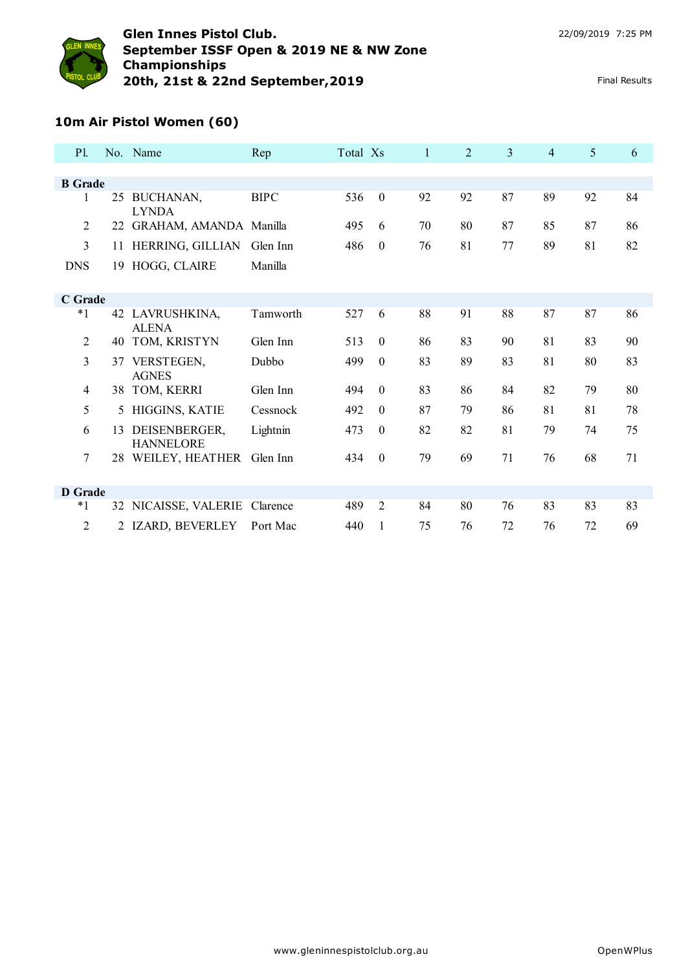

# **10m Air Pistol Women (60)**

| P1             |    | No. Name                          | Rep         | Total Xs |                  | $\mathbf{1}$ | $\overline{2}$ | $\overline{3}$ | $\overline{4}$ | 5  | 6  |
|----------------|----|-----------------------------------|-------------|----------|------------------|--------------|----------------|----------------|----------------|----|----|
|                |    |                                   |             |          |                  |              |                |                |                |    |    |
| <b>B</b> Grade |    |                                   |             |          |                  |              |                |                |                |    |    |
| 1              | 25 | BUCHANAN,<br><b>LYNDA</b>         | <b>BIPC</b> | 536      | $\mathbf{0}$     | 92           | 92             | 87             | 89             | 92 | 84 |
| $\overline{2}$ | 22 | GRAHAM, AMANDA Manilla            |             | 495      | 6                | 70           | 80             | 87             | 85             | 87 | 86 |
| 3              | 11 | HERRING, GILLIAN                  | Glen Inn    | 486      | $\boldsymbol{0}$ | 76           | 81             | 77             | 89             | 81 | 82 |
| <b>DNS</b>     | 19 | HOGG, CLAIRE                      | Manilla     |          |                  |              |                |                |                |    |    |
|                |    |                                   |             |          |                  |              |                |                |                |    |    |
| C Grade        |    |                                   |             |          |                  |              |                |                |                |    |    |
| $*1$           |    | 42 LAVRUSHKINA,<br><b>ALENA</b>   | Tamworth    | 527      | 6                | 88           | 91             | 88             | 87             | 87 | 86 |
| $\overline{2}$ | 40 | TOM, KRISTYN                      | Glen Inn    | 513      | $\theta$         | 86           | 83             | 90             | 81             | 83 | 90 |
| 3              | 37 | VERSTEGEN,<br><b>AGNES</b>        | Dubbo       | 499      | $\boldsymbol{0}$ | 83           | 89             | 83             | 81             | 80 | 83 |
| $\overline{4}$ | 38 | TOM, KERRI                        | Glen Inn    | 494      | $\theta$         | 83           | 86             | 84             | 82             | 79 | 80 |
| 5              | 5  | HIGGINS, KATIE                    | Cessnock    | 492      | $\Omega$         | 87           | 79             | 86             | 81             | 81 | 78 |
| 6              | 13 | DEISENBERGER,<br><b>HANNELORE</b> | Lightnin    | 473      | $\theta$         | 82           | 82             | 81             | 79             | 74 | 75 |
| $\overline{7}$ |    | 28 WEILEY, HEATHER                | Glen Inn    | 434      | $\boldsymbol{0}$ | 79           | 69             | 71             | 76             | 68 | 71 |
|                |    |                                   |             |          |                  |              |                |                |                |    |    |
| <b>D</b> Grade |    |                                   |             |          |                  |              |                |                |                |    |    |
| $*_{1}$        |    | 32 NICAISSE, VALERIE              | Clarence    | 489      | 2                | 84           | 80             | 76             | 83             | 83 | 83 |
| 2              |    | 2 IZARD, BEVERLEY                 | Port Mac    | 440      | 1                | 75           | 76             | 72             | 76             | 72 | 69 |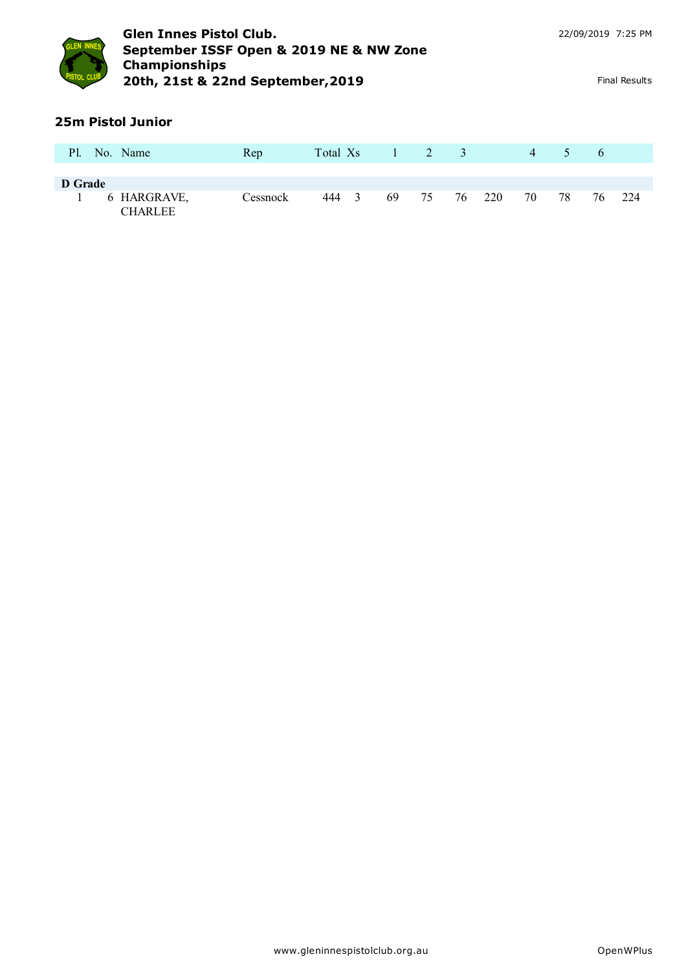

# **25m Pistol Junior**

| P1.     | No. Name                      | Rep      | Total Xs |    | $1 \quad 2 \quad 3$ |        | 4  | $\mathcal{D}$ | $\sigma$ |     |
|---------|-------------------------------|----------|----------|----|---------------------|--------|----|---------------|----------|-----|
| D Grade |                               |          |          |    |                     |        |    |               |          |     |
|         | 6 HARGRAVE,<br><b>CHARLEE</b> | Cessnock | 444 3    | 69 | 75                  | 76 220 | 70 | 78            | 76       | 224 |